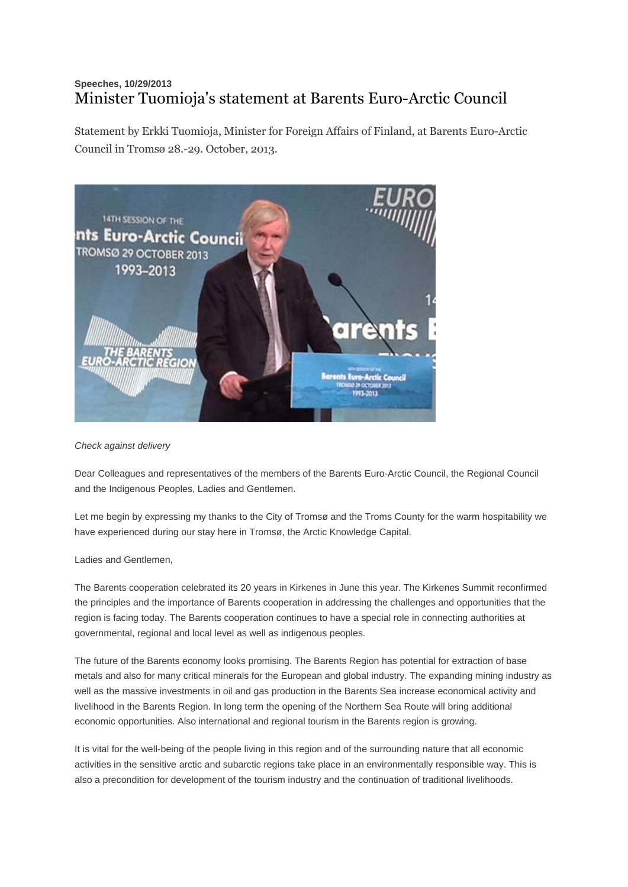## **Speeches, 10/29/2013** Minister Tuomioja's statement at Barents Euro-Arctic Council

Statement by Erkki Tuomioja, Minister for Foreign Affairs of Finland, at Barents Euro-Arctic Council in Tromsø 28.-29. October, 2013.



*Check against delivery*

Dear Colleagues and representatives of the members of the Barents Euro-Arctic Council, the Regional Council and the Indigenous Peoples, Ladies and Gentlemen.

Let me begin by expressing my thanks to the City of Tromsø and the Troms County for the warm hospitability we have experienced during our stay here in Tromsø, the Arctic Knowledge Capital.

Ladies and Gentlemen,

The Barents cooperation celebrated its 20 years in Kirkenes in June this year. The Kirkenes Summit reconfirmed the principles and the importance of Barents cooperation in addressing the challenges and opportunities that the region is facing today. The Barents cooperation continues to have a special role in connecting authorities at governmental, regional and local level as well as indigenous peoples.

The future of the Barents economy looks promising. The Barents Region has potential for extraction of base metals and also for many critical minerals for the European and global industry. The expanding mining industry as well as the massive investments in oil and gas production in the Barents Sea increase economical activity and livelihood in the Barents Region. In long term the opening of the Northern Sea Route will bring additional economic opportunities. Also international and regional tourism in the Barents region is growing.

It is vital for the well-being of the people living in this region and of the surrounding nature that all economic activities in the sensitive arctic and subarctic regions take place in an environmentally responsible way. This is also a precondition for development of the tourism industry and the continuation of traditional livelihoods.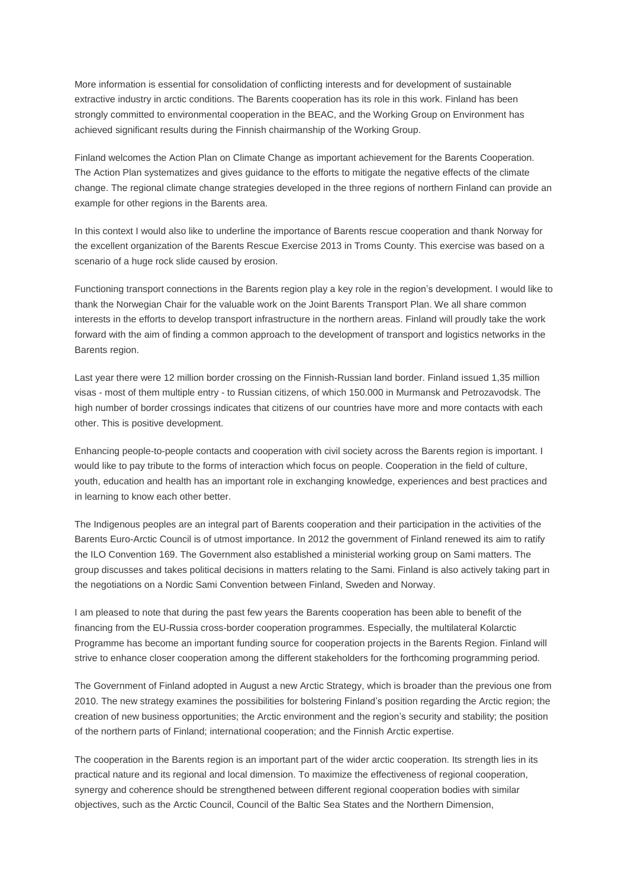More information is essential for consolidation of conflicting interests and for development of sustainable extractive industry in arctic conditions. The Barents cooperation has its role in this work. Finland has been strongly committed to environmental cooperation in the BEAC, and the Working Group on Environment has achieved significant results during the Finnish chairmanship of the Working Group.

Finland welcomes the Action Plan on Climate Change as important achievement for the Barents Cooperation. The Action Plan systematizes and gives guidance to the efforts to mitigate the negative effects of the climate change. The regional climate change strategies developed in the three regions of northern Finland can provide an example for other regions in the Barents area.

In this context I would also like to underline the importance of Barents rescue cooperation and thank Norway for the excellent organization of the Barents Rescue Exercise 2013 in Troms County. This exercise was based on a scenario of a huge rock slide caused by erosion.

Functioning transport connections in the Barents region play a key role in the region's development. I would like to thank the Norwegian Chair for the valuable work on the Joint Barents Transport Plan. We all share common interests in the efforts to develop transport infrastructure in the northern areas. Finland will proudly take the work forward with the aim of finding a common approach to the development of transport and logistics networks in the Barents region.

Last year there were 12 million border crossing on the Finnish-Russian land border. Finland issued 1,35 million visas - most of them multiple entry - to Russian citizens, of which 150.000 in Murmansk and Petrozavodsk. The high number of border crossings indicates that citizens of our countries have more and more contacts with each other. This is positive development.

Enhancing people-to-people contacts and cooperation with civil society across the Barents region is important. I would like to pay tribute to the forms of interaction which focus on people. Cooperation in the field of culture, youth, education and health has an important role in exchanging knowledge, experiences and best practices and in learning to know each other better.

The Indigenous peoples are an integral part of Barents cooperation and their participation in the activities of the Barents Euro-Arctic Council is of utmost importance. In 2012 the government of Finland renewed its aim to ratify the ILO Convention 169. The Government also established a ministerial working group on Sami matters. The group discusses and takes political decisions in matters relating to the Sami. Finland is also actively taking part in the negotiations on a Nordic Sami Convention between Finland, Sweden and Norway.

I am pleased to note that during the past few years the Barents cooperation has been able to benefit of the financing from the EU-Russia cross-border cooperation programmes. Especially, the multilateral Kolarctic Programme has become an important funding source for cooperation projects in the Barents Region. Finland will strive to enhance closer cooperation among the different stakeholders for the forthcoming programming period.

The Government of Finland adopted in August a new Arctic Strategy, which is broader than the previous one from 2010. The new strategy examines the possibilities for bolstering Finland's position regarding the Arctic region; the creation of new business opportunities; the Arctic environment and the region's security and stability; the position of the northern parts of Finland; international cooperation; and the Finnish Arctic expertise.

The cooperation in the Barents region is an important part of the wider arctic cooperation. Its strength lies in its practical nature and its regional and local dimension. To maximize the effectiveness of regional cooperation, synergy and coherence should be strengthened between different regional cooperation bodies with similar objectives, such as the Arctic Council, Council of the Baltic Sea States and the Northern Dimension,